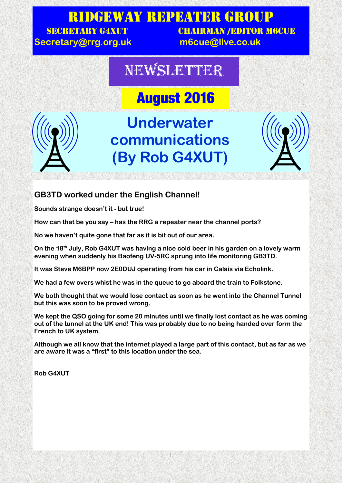### Ridgeway Repeater Group SECRETARY G4XUT CHAIRMAN /EDITOR M6CUE

**Secretary@rrg.org.uk m6cue@live.co.uk**

## NEWSLETTER

# **August 2016**



# **Underwater communications (By Rob G4XUT)**



#### **GB3TD worked under the English Channel!**

**Sounds strange doesn't it - but true!**

**How can that be you say – has the RRG a repeater near the channel ports?**

**No we haven't quite gone that far as it is bit out of our area.**

**On the 18th July, Rob G4XUT was having a nice cold beer in his garden on a lovely warm evening when suddenly his Baofeng UV-5RC sprung into life monitoring GB3TD.**

**It was Steve M6BPP now 2E0DUJ operating from his car in Calais via Echolink.**

**We had a few overs whist he was in the queue to go aboard the train to Folkstone.**

**We both thought that we would lose contact as soon as he went into the Channel Tunnel but this was soon to be proved wrong.**

**We kept the QSO going for some 20 minutes until we finally lost contact as he was coming out of the tunnel at the UK end! This was probably due to no being handed over form the French to UK system.**

**Although we all know that the internet played a large part of this contact, but as far as we are aware it was a "first" to this location under the sea.**

1

**Rob G4XUT**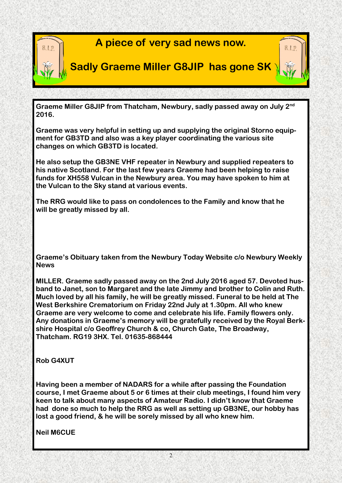

**Graeme Miller G8JIP from Thatcham, Newbury, sadly passed away on July 2nd 2016.**

**Graeme was very helpful in setting up and supplying the original Storno equipment for GB3TD and also was a key player coordinating the various site changes on which GB3TD is located.**

**He also setup the GB3NE VHF repeater in Newbury and supplied repeaters to his native Scotland. For the last few years Graeme had been helping to raise funds for XH558 Vulcan in the Newbury area. You may have spoken to him at the Vulcan to the Sky stand at various events.**

**The RRG would like to pass on condolences to the Family and know that he will be greatly missed by all.**

**Graeme's Obituary taken from the Newbury Today Website c/o Newbury Weekly News**

**MILLER. Graeme sadly passed away on the 2nd July 2016 aged 57. Devoted husband to Janet, son to Margaret and the late Jimmy and brother to Colin and Ruth. Much loved by all his family, he will be greatly missed. Funeral to be held at The West Berkshire Crematorium on Friday 22nd July at 1.30pm. All who knew Graeme are very welcome to come and celebrate his life. Family flowers only. Any donations in Graeme's memory will be gratefully received by the Royal Berkshire Hospital c/o Geoffrey Church & co, Church Gate, The Broadway, Thatcham. RG19 3HX. Tel. 01635-868444**

**Rob G4XUT**

**Having been a member of NADARS for a while after passing the Foundation course, I met Graeme about 5 or 6 times at their club meetings, I found him very keen to talk about many aspects of Amateur Radio. I didn't know that Graeme had done so much to help the RRG as well as setting up GB3NE, our hobby has lost a good friend, & he will be sorely missed by all who knew him.**

**Neil M6CUE**